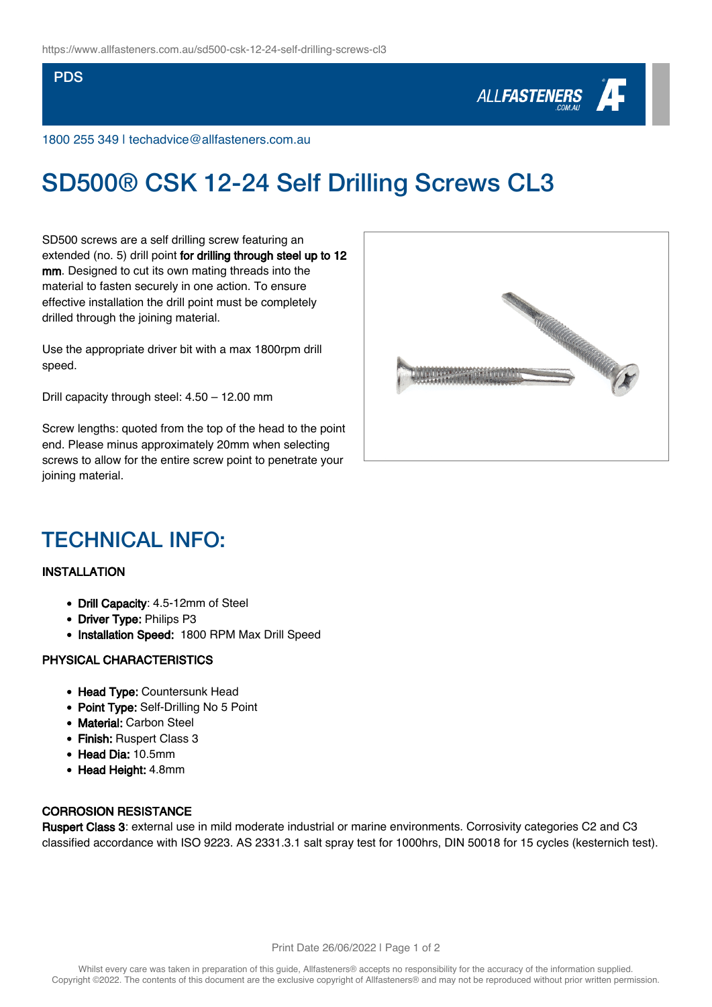#### PDS



1800 255 349 | techadvice@allfasteners.com.au

# SD500® CSK 12-24 Self Drilling Screws CL3

SD500 screws are a self drilling screw featuring an extended (no. 5) drill point for drilling through steel up to 12 mm. Designed to cut its own mating threads into the material to fasten securely in one action. To ensure effective installation the drill point must be completely drilled through the joining material.

Use the appropriate driver bit with a max 1800rpm drill speed.

Drill capacity through steel: 4.50 – 12.00 mm

Screw lengths: quoted from the top of the head to the point end. Please minus approximately 20mm when selecting screws to allow for the entire screw point to penetrate your joining material.



### TECHNICAL INFO:

#### INSTALLATION

- Drill Capacity: 4.5-12mm of Steel
- Driver Type: Philips P3
- Installation Speed: 1800 RPM Max Drill Speed

#### PHYSICAL CHARACTERISTICS

- Head Type: Countersunk Head
- Point Type: Self-Drilling No 5 Point
- Material: Carbon Steel
- Finish: Ruspert Class 3
- Head Dia: 10.5mm
- Head Height: 4.8mm

#### CORROSION RESISTANCE

Ruspert Class 3: external use in mild moderate industrial or marine environments. Corrosivity categories C2 and C3 classified accordance with ISO 9223. AS 2331.3.1 salt spray test for 1000hrs, DIN 50018 for 15 cycles (kesternich test).